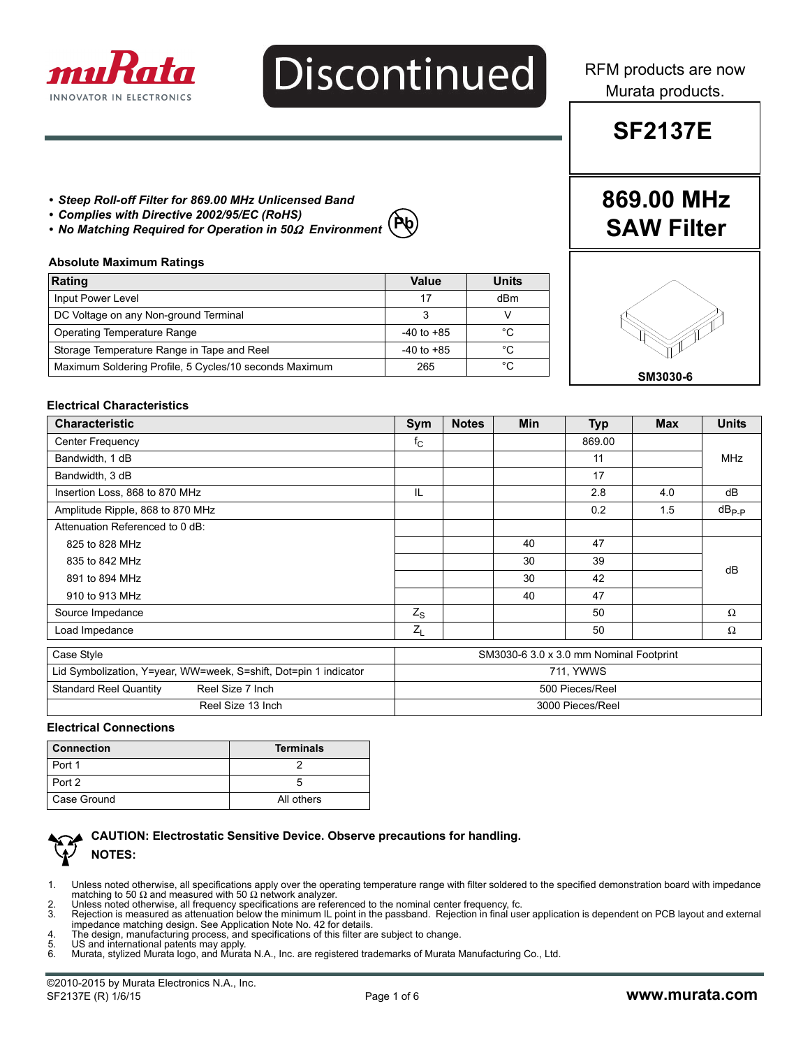

# Discontinued

RFM products are now Murata products.

### **SF2137E**

**869.00 MHz**

**SAW Filter**

### *• Steep Roll-off Filter for 869.00 MHz Unlicensed Band*

- *Complies with Directive 2002/95/EC (RoHS)*
- *No Matching Required for Operation in 50*Ω *Environment*

## **Pb**

#### **Absolute Maximum Ratings**

| Rating                                                 | Value          | <b>Units</b> |
|--------------------------------------------------------|----------------|--------------|
| Input Power Level                                      | 17             | dBm          |
| DC Voltage on any Non-ground Terminal                  |                |              |
| Operating Temperature Range                            | $-40$ to $+85$ | °C           |
| Storage Temperature Range in Tape and Reel             | $-40$ to $+85$ | °C           |
| Maximum Soldering Profile, 5 Cycles/10 seconds Maximum | 265            | °C           |



#### **Electrical Characteristics**

| <b>Characteristic</b>                                            | Sym                                     | <b>Notes</b> | <b>Min</b> | <b>Typ</b> | <b>Max</b> | <b>Units</b> |
|------------------------------------------------------------------|-----------------------------------------|--------------|------------|------------|------------|--------------|
| <b>Center Frequency</b>                                          | $f_{\rm C}$                             |              |            | 869.00     |            |              |
| Bandwidth, 1 dB                                                  |                                         |              |            | 11         |            | MHz          |
| Bandwidth, 3 dB                                                  |                                         |              |            | 17         |            |              |
| Insertion Loss, 868 to 870 MHz                                   | IL                                      |              |            | 2.8        | 4.0        | dB           |
| Amplitude Ripple, 868 to 870 MHz                                 |                                         |              |            | 0.2        | 1.5        | $dB_{P-P}$   |
| Attenuation Referenced to 0 dB:                                  |                                         |              |            |            |            |              |
| 825 to 828 MHz                                                   |                                         |              | 40         | 47         |            |              |
| 835 to 842 MHz                                                   |                                         |              | 30         | 39         |            | dB           |
| 891 to 894 MHz                                                   |                                         |              | 30         | 42         |            |              |
| 910 to 913 MHz                                                   |                                         |              | 40         | 47         |            |              |
| Source Impedance                                                 | $Z_{\rm S}$                             |              |            | 50         |            | $\Omega$     |
| Load Impedance                                                   | $Z_L$                                   |              |            | 50         |            | Ω            |
| Case Style                                                       | SM3030-6 3.0 x 3.0 mm Nominal Footprint |              |            |            |            |              |
| Lid Symbolization, Y=year, WW=week, S=shift, Dot=pin 1 indicator | 711, YWWS                               |              |            |            |            |              |
| <b>Standard Reel Quantity</b><br>Reel Size 7 Inch                | 500 Pieces/Reel                         |              |            |            |            |              |
| Reel Size 13 Inch                                                | 3000 Pieces/Reel                        |              |            |            |            |              |

#### **Electrical Connections**

| <b>Connection</b> | <b>Terminals</b> |  |  |
|-------------------|------------------|--|--|
| Port 1            |                  |  |  |
| Port 2            |                  |  |  |
| Case Ground       | All others       |  |  |



### **CAUTION: Electrostatic Sensitive Device. Observe precautions for handling. NOTES:**

- 1. Unless noted otherwise, all specifications apply over the operating temperature range with filter soldered to the specified demonstration board with impedance<br>matching to 50 Ω and measured with 50 Ω network analyzer.
- 2. Unless noted otherwise, all frequency specifications are referenced to the nominal center frequency, fc.<br>3. Rejection is measured as attenuation below the minimum IL point in the passband. Rejection in final use
- Rejection is measured as attenuation below the minimum IL point in the passband. Rejection in final user application is dependent on PCB layout and external impedance matching design. See Application Note No. 42 for details.
- 4. The design, manufacturing process, and specifications of this filter are subject to change.<br>5. US and international patents may apply
- 
- 5. US and international patents may apply. 6. Murata, stylized Murata logo, and Murata N.A., Inc. are registered trademarks of Murata Manufacturing Co., Ltd.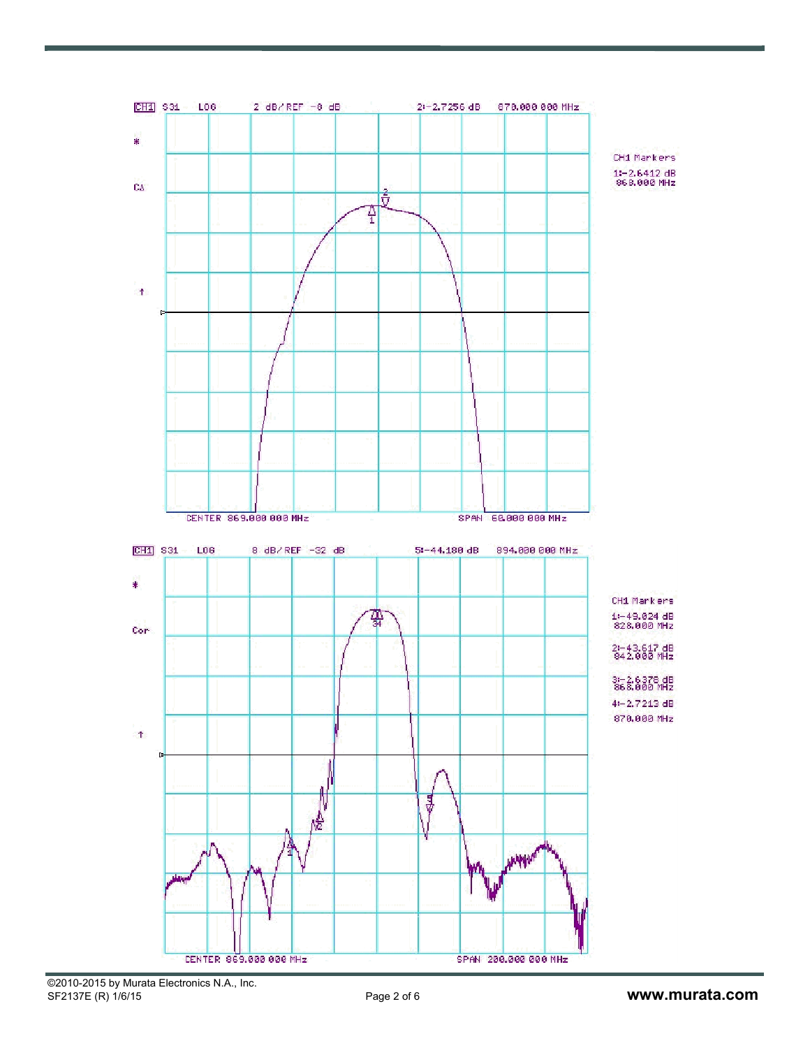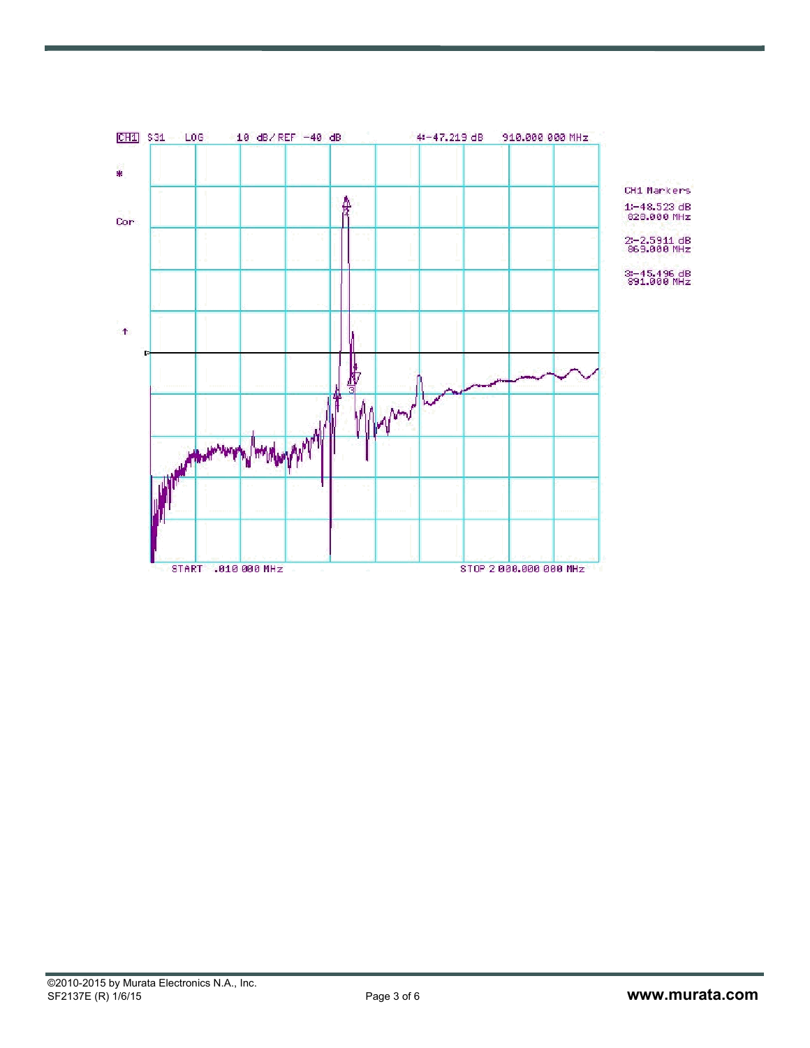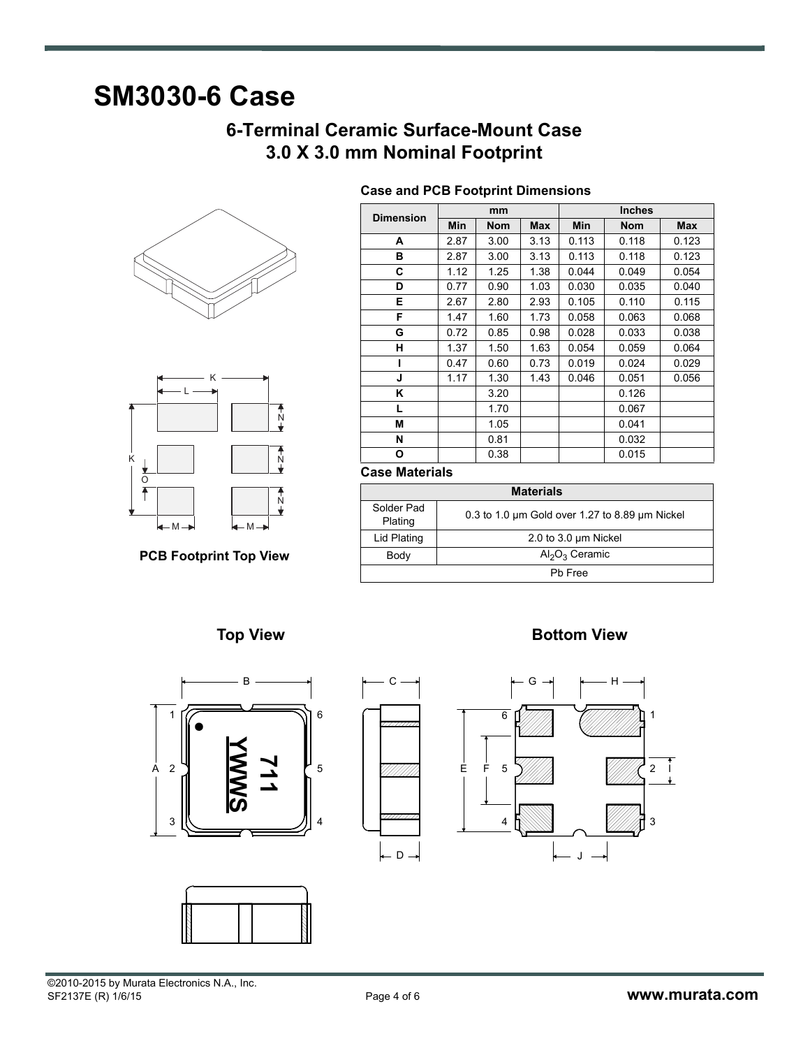### **SM3030-6 Case**

### **6-Terminal Ceramic Surface-Mount Case 3.0 X 3.0 mm Nominal Footprint**

**Case and PCB Footprint Dimensions**





**PCB Footprint Top View**

| mm<br><b>Dimension</b> |      |            | <b>Inches</b> |       |            |            |
|------------------------|------|------------|---------------|-------|------------|------------|
|                        | Min  | <b>Nom</b> | <b>Max</b>    | Min   | <b>Nom</b> | <b>Max</b> |
| A                      | 2.87 | 3.00       | 3.13          | 0.113 | 0.118      | 0.123      |
| в                      | 2.87 | 3.00       | 3.13          | 0.113 | 0.118      | 0.123      |
| С                      | 1.12 | 1.25       | 1.38          | 0.044 | 0.049      | 0.054      |
| D                      | 0.77 | 0.90       | 1.03          | 0.030 | 0.035      | 0.040      |
| Е                      | 2.67 | 2.80       | 2.93          | 0.105 | 0.110      | 0.115      |
| F                      | 1.47 | 1.60       | 1.73          | 0.058 | 0.063      | 0.068      |
| G                      | 0.72 | 0.85       | 0.98          | 0.028 | 0.033      | 0.038      |
| н                      | 1.37 | 1.50       | 1.63          | 0.054 | 0.059      | 0.064      |
|                        | 0.47 | 0.60       | 0.73          | 0.019 | 0.024      | 0.029      |
| J                      | 1.17 | 1.30       | 1.43          | 0.046 | 0.051      | 0.056      |
| Κ                      |      | 3.20       |               |       | 0.126      |            |
| L                      |      | 1.70       |               |       | 0.067      |            |
| M                      |      | 1.05       |               |       | 0.041      |            |
| N                      |      | 0.81       |               |       | 0.032      |            |
| О                      |      | 0.38       |               |       | 0.015      |            |

### **Case Materials**

| <b>Materials</b>      |                                                          |  |  |  |
|-----------------------|----------------------------------------------------------|--|--|--|
| Solder Pad<br>Plating | 0.3 to 1.0 $\mu$ m Gold over 1.27 to 8.89 $\mu$ m Nickel |  |  |  |
| Lid Plating           | 2.0 to 3.0 um Nickel                                     |  |  |  |
| Body                  | $Al_2O_3$ Ceramic                                        |  |  |  |
| Ph Free               |                                                          |  |  |  |







**Top View Contract Contract Contract Contract Contract Contract Contract Contract Contract Contract Contract Contract Contract Contract Contract Contract Contract Contract Contract Contract Contract Contract Contract Contr** 

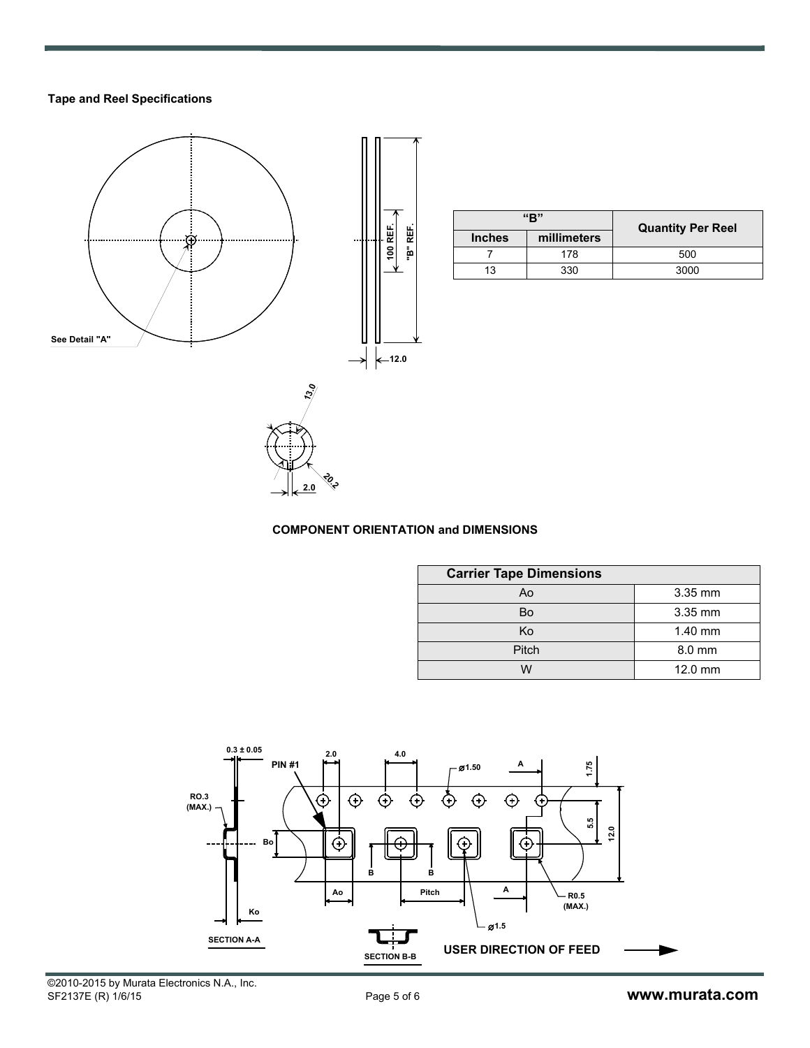### **Tape and Reel Specifications**



| "R"           |             | <b>Quantity Per Reel</b> |  |  |
|---------------|-------------|--------------------------|--|--|
| <b>Inches</b> | millimeters |                          |  |  |
|               | 178         | 500                      |  |  |
| 13            | 330         | 3000                     |  |  |

### **COMPONENT ORIENTATION and DIMENSIONS**

**20.2 2.0**

| <b>Carrier Tape Dimensions</b> |           |  |  |  |  |
|--------------------------------|-----------|--|--|--|--|
| Ao                             | 3.35 mm   |  |  |  |  |
| Bo                             | 3.35 mm   |  |  |  |  |
| Ko                             | $1.40$ mm |  |  |  |  |
| Pitch                          | 8.0 mm    |  |  |  |  |
|                                | 12.0 mm   |  |  |  |  |

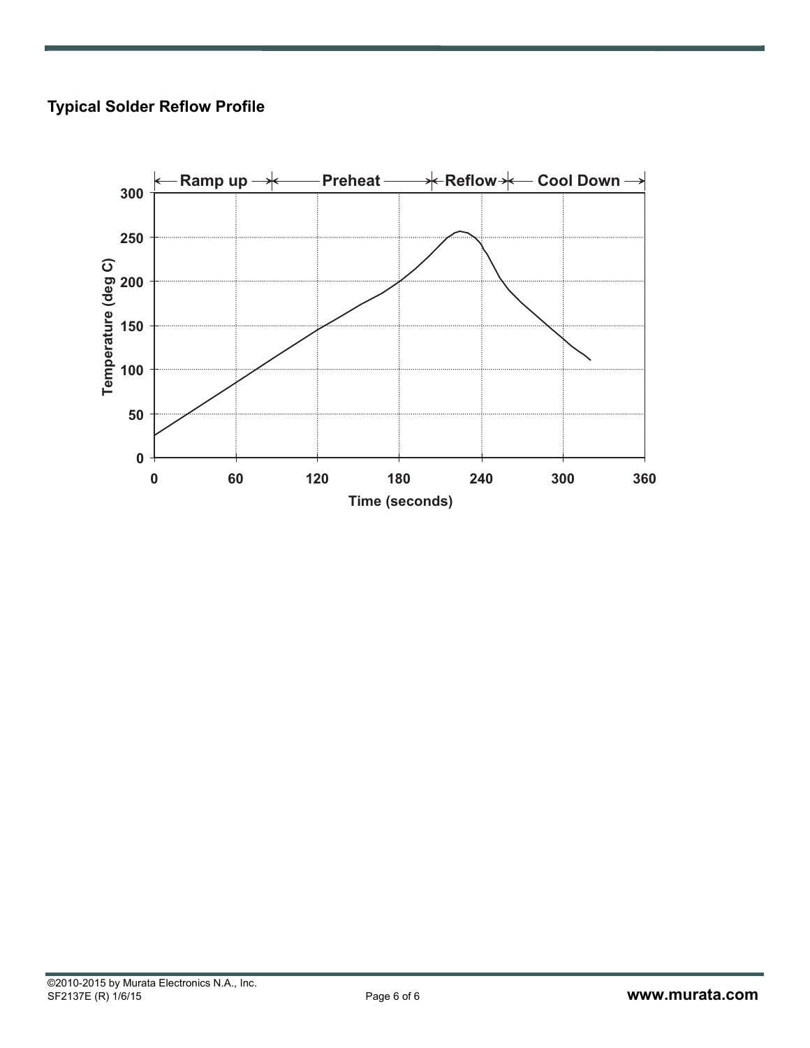### **Typical Solder Reflow Profile**